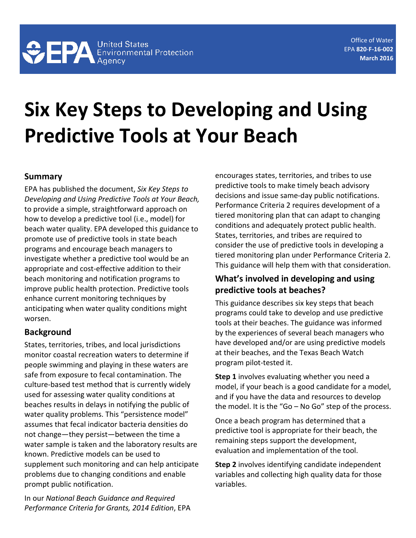# **Six Key Steps to Developing and Using Predictive Tools at Your Beach**

#### **Summary**

EPA has published the document, *Six Key Steps to Developing and Using Predictive Tools at Your Beach,* to provide a simple, straightforward approach on how to develop a predictive tool (i.e., model) for beach water quality. EPA developed this guidance to promote use of predictive tools in state beach programs and encourage beach managers to investigate whether a predictive tool would be an appropriate and cost-effective addition to their beach monitoring and notification programs to improve public health protection. Predictive tools enhance current monitoring techniques by anticipating when water quality conditions might worsen.

#### **Background**

States, territories, tribes, and local jurisdictions monitor coastal recreation waters to determine if people swimming and playing in these waters are safe from exposure to fecal contamination. The culture-based test method that is currently widely used for assessing water quality conditions at beaches results in delays in notifying the public of water quality problems. This "persistence model" assumes that fecal indicator bacteria densities do not change—they persist—between the time a water sample is taken and the laboratory results are known. Predictive models can be used to supplement such monitoring and can help anticipate problems due to changing conditions and enable prompt public notification.

In our *National Beach Guidance and Required Performance Criteria for Grants, 2014 Edition*, EPA encourages states, territories, and tribes to use predictive tools to make timely beach advisory decisions and issue same-day public notifications. Performance Criteria 2 requires development of a tiered monitoring plan that can adapt to changing conditions and adequately protect public health. States, territories, and tribes are required to consider the use of predictive tools in developing a tiered monitoring plan under Performance Criteria 2. This guidance will help them with that consideration.

### **What's involved in developing and using predictive tools at beaches?**

This guidance describes six key steps that beach programs could take to develop and use predictive tools at their beaches. The guidance was informed by the experiences of several beach managers who have developed and/or are using predictive models at their beaches, and the Texas Beach Watch program pilot-tested it.

**Step 1** involves evaluating whether you need a model, if your beach is a good candidate for a model, and if you have the data and resources to develop the model. It is the "Go – No Go" step of the process.

Once a beach program has determined that a predictive tool is appropriate for their beach, the remaining steps support the development, evaluation and implementation of the tool.

**Step 2** involves identifying candidate independent variables and collecting high quality data for those variables.